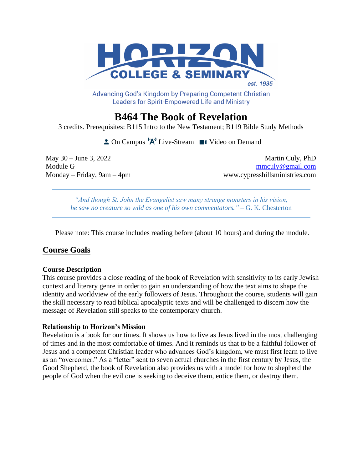

Advancing God's Kingdom by Preparing Competent Christian **Leaders for Spirit-Empowered Life and Ministry** 

# **B464 The Book of Revelation**

3 credits. Prerequisites: B115 Intro to the New Testament; B119 Bible Study Methods

 $\triangle$  On Campus  $^1A^1$  Live-Stream  $\blacksquare$  Video on Demand

May 30 – June 3, 2022 Martin Culy, PhD Module G mmculy @gmail.com Monday – Friday, 9am – 4pm www.cypresshillsministries.com

*"And though St. John the Evangelist saw many strange monsters in his vision, he saw no creature so wild as one of his own commentators."* – G. K. Chesterton

Please note: This course includes reading before (about 10 hours) and during the module.

# **Course Goals**

### **Course Description**

This course provides a close reading of the book of Revelation with sensitivity to its early Jewish context and literary genre in order to gain an understanding of how the text aims to shape the identity and worldview of the early followers of Jesus. Throughout the course, students will gain the skill necessary to read biblical apocalyptic texts and will be challenged to discern how the message of Revelation still speaks to the contemporary church.

### **Relationship to Horizon's Mission**

Revelation is a book for our times. It shows us how to live as Jesus lived in the most challenging of times and in the most comfortable of times. And it reminds us that to be a faithful follower of Jesus and a competent Christian leader who advances God's kingdom, we must first learn to live as an "overcomer." As a "letter" sent to seven actual churches in the first century by Jesus, the Good Shepherd, the book of Revelation also provides us with a model for how to shepherd the people of God when the evil one is seeking to deceive them, entice them, or destroy them.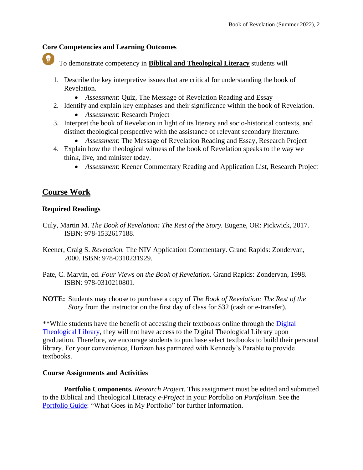## **Core Competencies and Learning Outcomes**

To demonstrate competency in **Biblical and Theological Literacy** students will

- 1. Describe the key interpretive issues that are critical for understanding the book of Revelation.
	- *Assessment*: Quiz, The Message of Revelation Reading and Essay
- 2. Identify and explain key emphases and their significance within the book of Revelation.
	- *Assessment*: Research Project
- 3. Interpret the book of Revelation in light of its literary and socio-historical contexts, and distinct theological perspective with the assistance of relevant secondary literature.
	- *Assessment*: The Message of Revelation Reading and Essay, Research Project
- 4. Explain how the theological witness of the book of Revelation speaks to the way we think, live, and minister today.
	- *Assessment*: Keener Commentary Reading and Application List, Research Project

# **Course Work**

# **Required Readings**

- Culy, Martin M. *The Book of Revelation: The Rest of the Story.* Eugene, OR: Pickwick, 2017. ISBN: 978-1532617188.
- Keener, Craig S. *Revelation.* The NIV Application Commentary. Grand Rapids: Zondervan, 2000. ISBN: 978-0310231929.
- Pate, C. Marvin, ed. *Four Views on the Book of Revelation.* Grand Rapids: Zondervan, 1998. ISBN: 978-0310210801.
- **NOTE:** Students may choose to purchase a copy of *The Book of Revelation: The Rest of the Story* from the instructor on the first day of class for \$32 (cash or e-transfer).

\*\*While students have the benefit of accessing their textbooks online through the [Digital](https://libguides.thedtl.org/home)  [Theological Library,](https://libguides.thedtl.org/home) they will not have access to the Digital Theological Library upon graduation. Therefore, we encourage students to purchase select textbooks to build their personal library. For your convenience, Horizon has partnered with Kennedy's Parable to provide textbooks.

## **Course Assignments and Activities**

**Portfolio Components.** *Research Project*. This assignment must be edited and submitted to the Biblical and Theological Literacy *e-Project* in your Portfolio on *Portfolium*. See the [Portfolio Guide:](https://www.horizon.edu/wp-content/uploads/2019/09/Portfolio-Guide-September-2019.pdf) "What Goes in My Portfolio" for further information.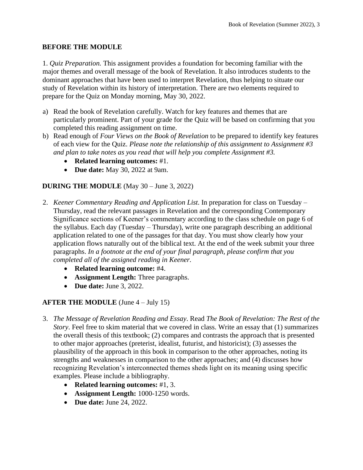# **BEFORE THE MODULE**

1. *Quiz Preparation.* This assignment provides a foundation for becoming familiar with the major themes and overall message of the book of Revelation. It also introduces students to the dominant approaches that have been used to interpret Revelation, thus helping to situate our study of Revelation within its history of interpretation. There are two elements required to prepare for the Quiz on Monday morning, May 30, 2022.

- a) Read the book of Revelation carefully. Watch for key features and themes that are particularly prominent. Part of your grade for the Quiz will be based on confirming that you completed this reading assignment on time.
- b) Read enough of *Four Views on the Book of Revelation* to be prepared to identify key features of each view for the Quiz. *Please note the relationship of this assignment to Assignment #3 and plan to take notes as you read that will help you complete Assignment #3.*
	- **Related learning outcomes:** #1.
	- **Due date:** May 30, 2022 at 9am.

# **DURING THE MODULE** (May 30 – June 3, 2022)

- 2. *Keener Commentary Reading and Application List*. In preparation for class on Tuesday Thursday, read the relevant passages in Revelation and the corresponding Contemporary Significance sections of Keener's commentary according to the class schedule on page 6 of the syllabus. Each day (Tuesday – Thursday), write one paragraph describing an additional application related to one of the passages for that day. You must show clearly how your application flows naturally out of the biblical text. At the end of the week submit your three paragraphs. *In a footnote at the end of your final paragraph, please confirm that you completed all of the assigned reading in Keener.*
	- **Related learning outcome:** #4.
	- **Assignment Length:** Three paragraphs.
	- **Due date:** June 3, 2022.

## **AFTER THE MODULE** (June 4 – July 15)

- 3. *The Message of Revelation Reading and Essay*. Read *The Book of Revelation: The Rest of the Story*. Feel free to skim material that we covered in class. Write an essay that (1) summarizes the overall thesis of this textbook; (2) compares and contrasts the approach that is presented to other major approaches (preterist, idealist, futurist, and historicist); (3) assesses the plausibility of the approach in this book in comparison to the other approaches, noting its strengths and weaknesses in comparison to the other approaches; and (4) discusses how recognizing Revelation's interconnected themes sheds light on its meaning using specific examples. Please include a bibliography.
	- **Related learning outcomes:** #1, 3.
	- **Assignment Length:** 1000-1250 words.
	- **Due date:** June 24, 2022.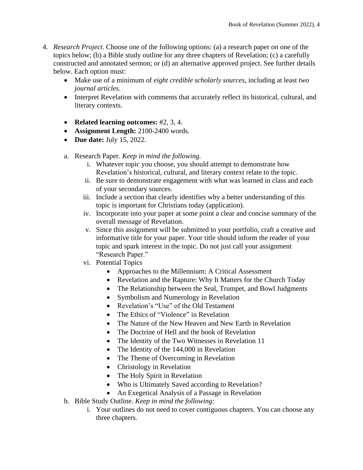- 4. *Research Project*. Choose one of the following options: (a) a research paper on one of the topics below; (b) a Bible study outline for any three chapters of Revelation; (c) a carefully constructed and annotated sermon; or (d) an alternative approved project. See further details below. Each option must:
	- Make use of a minimum of *eight credible scholarly sources*, including at least *two journal articles*.
	- Interpret Revelation with comments that accurately reflect its historical, cultural, and literary contexts.
	- **Related learning outcomes:** #2, 3, 4.
	- **Assignment Length:** 2100-2400 words.
	- **Due date:** July 15, 2022.
	- a. Research Paper. *Keep in mind the following.*
		- i. Whatever topic you choose, you should attempt to demonstrate how Revelation's historical, cultural, and literary context relate to the topic.
		- ii. Be sure to demonstrate engagement with what was learned in class and each of your secondary sources.
		- iii. Include a section that clearly identifies why a better understanding of this topic is important for Christians today (application).
		- iv. Incorporate into your paper at some point a clear and concise summary of the overall message of Revelation.
		- v. Since this assignment will be submitted to your portfolio, craft a creative and informative title for your paper. Your title should inform the reader of your topic and spark interest in the topic. Do not just call your assignment "Research Paper."
		- vi. Potential Topics
			- Approaches to the Millennium: A Critical Assessment
			- Revelation and the Rapture: Why It Matters for the Church Today
			- The Relationship between the Seal, Trumpet, and Bowl Judgments
			- Symbolism and Numerology in Revelation
			- Revelation's "Use" of the Old Testament
			- The Ethics of "Violence" in Revelation
			- The Nature of the New Heaven and New Earth in Revelation
			- The Doctrine of Hell and the book of Revelation
			- The Identity of the Two Witnesses in Revelation 11
			- The Identity of the 144,000 in Revelation
			- The Theme of Overcoming in Revelation
			- Christology in Revelation
			- The Holy Spirit in Revelation
			- Who is Ultimately Saved according to Revelation?
			- An Exegetical Analysis of a Passage in Revelation
	- b. Bible Study Outline. *Keep in mind the following:*
		- i. Your outlines do not need to cover contiguous chapters. You can choose any three chapters.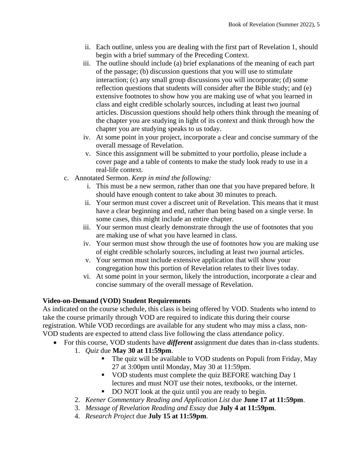- ii. Each outline, unless you are dealing with the first part of Revelation 1, should begin with a brief summary of the Preceding Context.
- iii. The outline should include (a) brief explanations of the meaning of each part of the passage; (b) discussion questions that you will use to stimulate interaction; (c) any small group discussions you will incorporate; (d) some reflection questions that students will consider after the Bible study; and (e) extensive footnotes to show how you are making use of what you learned in class and eight credible scholarly sources, including at least two journal articles. Discussion questions should help others think through the meaning of the chapter you are studying in light of its context and think through how the chapter you are studying speaks to us today.
- iv. At some point in your project, incorporate a clear and concise summary of the overall message of Revelation.
- v. Since this assignment will be submitted to your portfolio, please include a cover page and a table of contents to make the study look ready to use in a real-life context.
- c. Annotated Sermon. *Keep in mind the following:*
	- i. This must be a new sermon, rather than one that you have prepared before. It should have enough content to take about 30 minutes to preach.
	- ii. Your sermon must cover a discreet unit of Revelation. This means that it must have a clear beginning and end, rather than being based on a single verse. In some cases, this might include an entire chapter.
	- iii. Your sermon must clearly demonstrate through the use of footnotes that you are making use of what you have learned in class.
	- iv. Your sermon must show through the use of footnotes how you are making use of eight credible scholarly sources, including at least two journal articles.
	- v. Your sermon must include extensive application that will show your congregation how this portion of Revelation relates to their lives today.
	- vi. At some point in your sermon, likely the introduction, incorporate a clear and concise summary of the overall message of Revelation.

# **Video-on-Demand (VOD) Student Requirements**

As indicated on the course schedule, this class is being offered by VOD. Students who intend to take the course primarily through VOD are required to indicate this during their course registration. While VOD recordings are available for any student who may miss a class, non-VOD students are expected to attend class live following the class attendance policy.

- For this course, VOD students have *different* assignment due dates than in-class students.
	- 1. *Quiz* due **May 30 at 11:59pm**.
		- The quiz will be available to VOD students on Populi from Friday, May 27 at 3:00pm until Monday, May 30 at 11:59pm.
		- VOD students must complete the quiz BEFORE watching Day 1 lectures and must NOT use their notes, textbooks, or the internet.
		- DO NOT look at the quiz until you are ready to begin.
	- 2. *Keener Commentary Reading and Application List* due **June 17 at 11:59pm**.
	- 3. *Message of Revelation Reading and Essay* due **July 4 at 11:59pm**.
	- 4. *Research Project* due **July 15 at 11:59pm**.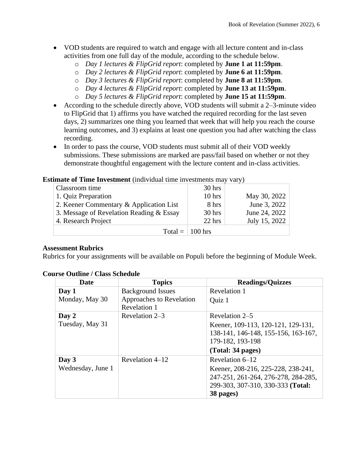- VOD students are required to watch and engage with all lecture content and in-class activities from one full day of the module, according to the schedule below.
	- o *Day 1 lectures & FlipGrid report*: completed by **June 1 at 11:59pm**.
	- o *Day 2 lectures & FlipGrid report*: completed by **June 6 at 11:59pm**.
	- o *Day 3 lectures & FlipGrid report*: completed by **June 8 at 11:59pm**.
	- o *Day 4 lectures & FlipGrid report*: completed by **June 13 at 11:59pm**.
	- o *Day 5 lectures & FlipGrid report*: completed by **June 15 at 11:59pm**.
- According to the schedule directly above, VOD students will submit a 2–3-minute video to FlipGrid that 1) affirms you have watched the required recording for the last seven days, 2) summarizes one thing you learned that week that will help you reach the course learning outcomes, and 3) explains at least one question you had after watching the class recording.
- In order to pass the course, VOD students must submit all of their VOD weekly submissions. These submissions are marked are pass/fail based on whether or not they demonstrate thoughtful engagement with the lecture content and in-class activities.

### **Estimate of Time Investment** (individual time investments may vary)

| Classroom time                           | $30$ hrs |               |
|------------------------------------------|----------|---------------|
| 1. Quiz Preparation                      | $10$ hrs | May 30, 2022  |
| 2. Keener Commentary & Application List  | 8 hrs    | June 3, 2022  |
| 3. Message of Revelation Reading & Essay | $30$ hrs | June 24, 2022 |
| 4. Research Project                      | $22$ hrs | July 15, 2022 |
| Total = $\vert$ 100 hrs                  |          |               |

#### **Assessment Rubrics**

Rubrics for your assignments will be available on Populi before the beginning of Module Week.

### **Course Outline / Class Schedule**

| Date              | <b>Topics</b>            | <b>Readings/Quizzes</b>             |  |
|-------------------|--------------------------|-------------------------------------|--|
| Day 1             | <b>Background Issues</b> | Revelation 1                        |  |
| Monday, May 30    | Approaches to Revelation | Quiz 1                              |  |
|                   | Revelation 1             |                                     |  |
| Day 2             | Revelation 2–3           | Revelation 2–5                      |  |
| Tuesday, May 31   |                          | Keener, 109-113, 120-121, 129-131,  |  |
|                   |                          | 138-141, 146-148, 155-156, 163-167, |  |
|                   |                          | 179-182, 193-198                    |  |
|                   |                          | (Total: 34 pages)                   |  |
| Day 3             | Revelation 4–12          | Revelation 6-12                     |  |
| Wednesday, June 1 |                          | Keener, 208-216, 225-228, 238-241,  |  |
|                   |                          | 247-251, 261-264, 276-278, 284-285, |  |
|                   |                          | 299-303, 307-310, 330-333 (Total:   |  |
|                   |                          | 38 pages)                           |  |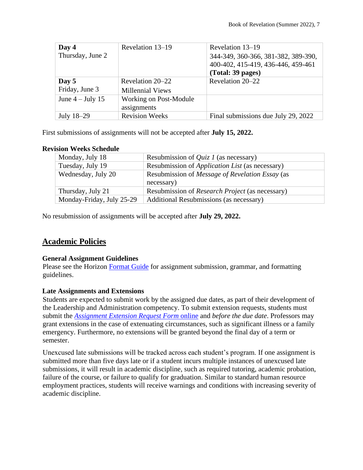| Day 4              | Revelation 13-19        | Revelation 13–19                    |
|--------------------|-------------------------|-------------------------------------|
| Thursday, June 2   |                         | 344-349, 360-366, 381-382, 389-390, |
|                    |                         | 400-402, 415-419, 436-446, 459-461  |
|                    |                         | (Total: 39 pages)                   |
| Day 5              | Revelation 20–22        | Revelation 20–22                    |
| Friday, June 3     | <b>Millennial Views</b> |                                     |
| June $4$ – July 15 | Working on Post-Module  |                                     |
|                    | assignments             |                                     |
| July 18-29         | <b>Revision Weeks</b>   | Final submissions due July 29, 2022 |

First submissions of assignments will not be accepted after **July 15, 2022.**

### **Revision Weeks Schedule**

| Monday, July 18           | Resubmission of <i>Quiz 1</i> (as necessary)                  |
|---------------------------|---------------------------------------------------------------|
| Tuesday, July 19          | Resubmission of <i>Application List</i> (as necessary)        |
| Wednesday, July 20        | Resubmission of Message of Revelation Essay (as<br>necessary) |
| Thursday, July 21         | Resubmission of <i>Research Project</i> (as necessary)        |
| Monday-Friday, July 25-29 | Additional Resubmissions (as necessary)                       |

No resubmission of assignments will be accepted after **July 29, 2022.**

# **Academic Policies**

### **General Assignment Guidelines**

Please see the Horizon [Format Guide](https://www.horizon.edu/students/resources/) for assignment submission, grammar, and formatting guidelines.

### **Late Assignments and Extensions**

Students are expected to submit work by the assigned due dates, as part of their development of the Leadership and Administration competency. To submit extension requests, students must submit the *[Assignment Extension Request Form](https://horizon.edu/forms/student/)* online and *before the due date*. Professors may grant extensions in the case of extenuating circumstances, such as significant illness or a family emergency. Furthermore, no extensions will be granted beyond the final day of a term or semester.

Unexcused late submissions will be tracked across each student's program. If one assignment is submitted more than five days late or if a student incurs multiple instances of unexcused late submissions, it will result in academic discipline, such as required tutoring, academic probation, failure of the course, or failure to qualify for graduation. Similar to standard human resource employment practices, students will receive warnings and conditions with increasing severity of academic discipline.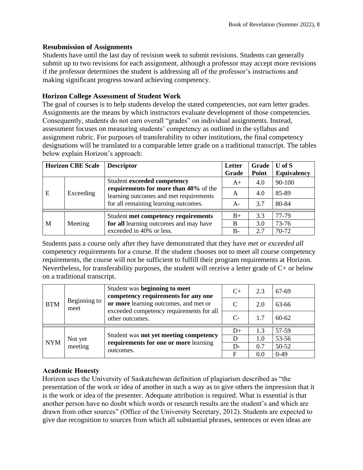### **Resubmission of Assignments**

Students have until the last day of revision week to submit revisions. Students can generally submit up to two revisions for each assignment, although a professor may accept more revisions if the professor determines the student is addressing all of the professor's instructions and making significant progress toward achieving competency.

### **Horizon College Assessment of Student Work**

The goal of courses is to help students develop the stated competencies, not earn letter grades. Assignments are the means by which instructors evaluate development of those competencies. Consequently, students do not earn overall "grades" on individual assignments. Instead, assessment focuses on measuring students' competency as outlined in the syllabus and assignment rubric. For purposes of transferability to other institutions, the final competency designations will be translated to a comparable letter grade on a traditional transcript. The tables below explain Horizon's approach:

|   | <b>Horizon CBE Scale</b> | <b>Descriptor</b>                                                                                                       | Letter<br>Grade | Grade<br>Point | $U$ of $S$<br><b>Equivalency</b> |
|---|--------------------------|-------------------------------------------------------------------------------------------------------------------------|-----------------|----------------|----------------------------------|
| E | Exceeding                | Student exceeded competency                                                                                             | $A+$            | 4.0            | 90-100                           |
|   |                          | requirements for more than 40% of the<br>learning outcomes and met requirements<br>for all remaining learning outcomes. | A               | 4.0            | 85-89                            |
|   |                          |                                                                                                                         | $A-$            | 3.7            | 80-84                            |
|   |                          | Student met competency requirements                                                                                     | $B+$            | 3.3            | 77-79                            |
| M | Meeting                  | for all learning outcomes and may have                                                                                  | B               | 3.0            | 73-76                            |
|   |                          | exceeded in 40% or less.                                                                                                | $B -$           | 2.7            | 70-72                            |

Students pass a course only after they have demonstrated that they have *met or exceeded all*  competency requirements for a course. If the student chooses not to meet all course competency requirements, the course will not be sufficient to fulfill their program requirements at Horizon. Nevertheless, for transferability purposes, the student will receive a letter grade of C+ or below on a traditional transcript.

| <b>BTM</b> | Beginning to<br>meet | Student was beginning to meet<br>competency requirements for any one<br>or more learning outcomes, and met or<br>exceeded competency requirements for all<br>other outcomes. | $C+$ | 2.3 | 67-69     |
|------------|----------------------|------------------------------------------------------------------------------------------------------------------------------------------------------------------------------|------|-----|-----------|
|            |                      |                                                                                                                                                                              |      | 2.0 | 63-66     |
|            |                      |                                                                                                                                                                              | $C-$ | 1.7 | $60 - 62$ |
| <b>NYM</b> | Not yet<br>meeting   | Student was not yet meeting competency<br>requirements for one or more learning<br>outcomes.                                                                                 | $D+$ | 1.3 | 57-59     |
|            |                      |                                                                                                                                                                              | D    | 1.0 | 53-56     |
|            |                      |                                                                                                                                                                              | $D-$ | 0.7 | 50-52     |
|            |                      |                                                                                                                                                                              | F    | 0.0 | $0-49$    |

## **Academic Honesty**

Horizon uses the University of Saskatchewan definition of plagiarism described as "the presentation of the work or idea of another in such a way as to give others the impression that it is the work or idea of the presenter. Adequate attribution is required. What is essential is that another person have no doubt which words or research results are the student's and which are drawn from other sources" (Office of the University Secretary, 2012). Students are expected to give due recognition to sources from which all substantial phrases, sentences or even ideas are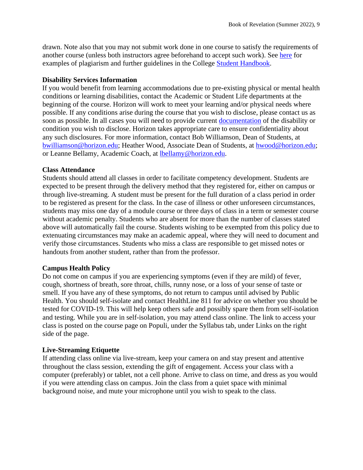drawn. Note also that you may not submit work done in one course to satisfy the requirements of another course (unless both instructors agree beforehand to accept such work). See [here](http://www.turnitin.com/assets/en_us/media/plagiarism_spectrum.php) for examples of plagiarism and further guidelines in the College [Student Handbook.](https://www.horizon.edu/students/resources/)

### **Disability Services Information**

If you would benefit from learning accommodations due to pre-existing physical or mental health conditions or learning disabilities, contact the Academic or Student Life departments at the beginning of the course. Horizon will work to meet your learning and/or physical needs where possible. If any conditions arise during the course that you wish to disclose, please contact us as soon as possible. In all cases you will need to provide current [documentation](https://www.horizon.edu/students/support/) of the disability or condition you wish to disclose. Horizon takes appropriate care to ensure confidentiality about any such disclosures. For more information, contact Bob Williamson, Dean of Students, at [bwilliamson@horizon.edu;](mailto:bwilliamson@horizon.edu) Heather Wood, Associate Dean of Students, at [hwood@horizon.edu;](mailto:hwood@horizon.edu) or Leanne Bellamy, Academic Coach, at [lbellamy@horizon.edu.](mailto:lbellamy@horizon.edu)

#### **Class Attendance**

Students should attend all classes in order to facilitate competency development. Students are expected to be present through the delivery method that they registered for, either on campus or through live-streaming. A student must be present for the full duration of a class period in order to be registered as present for the class. In the case of illness or other unforeseen circumstances, students may miss one day of a module course or three days of class in a term or semester course without academic penalty. Students who are absent for more than the number of classes stated above will automatically fail the course. Students wishing to be exempted from this policy due to extenuating circumstances may make an academic appeal, where they will need to document and verify those circumstances. Students who miss a class are responsible to get missed notes or handouts from another student, rather than from the professor.

### **Campus Health Policy**

Do not come on campus if you are experiencing symptoms (even if they are mild) of fever, cough, shortness of breath, sore throat, chills, runny nose, or a loss of your sense of taste or smell. If you have any of these symptoms, do not return to campus until advised by Public Health. You should self-isolate and contact HealthLine 811 for advice on whether you should be tested for COVID-19. This will help keep others safe and possibly spare them from self-isolation and testing. While you are in self-isolation, you may attend class online. The link to access your class is posted on the course page on Populi, under the Syllabus tab, under Links on the right side of the page.

### **Live-Streaming Etiquette**

If attending class online via live-stream, keep your camera on and stay present and attentive throughout the class session, extending the gift of engagement. Access your class with a computer (preferably) or tablet, not a cell phone. Arrive to class on time, and dress as you would if you were attending class on campus. Join the class from a quiet space with minimal background noise, and mute your microphone until you wish to speak to the class.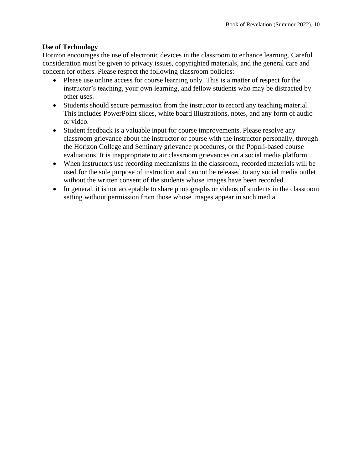## **Use of Technology**

Horizon encourages the use of electronic devices in the classroom to enhance learning. Careful consideration must be given to privacy issues, copyrighted materials, and the general care and concern for others. Please respect the following classroom policies:

- Please use online access for course learning only. This is a matter of respect for the instructor's teaching, your own learning, and fellow students who may be distracted by other uses.
- Students should secure permission from the instructor to record any teaching material. This includes PowerPoint slides, white board illustrations, notes, and any form of audio or video.
- Student feedback is a valuable input for course improvements. Please resolve any classroom grievance about the instructor or course with the instructor personally, through the Horizon College and Seminary grievance procedures, or the Populi-based course evaluations. It is inappropriate to air classroom grievances on a social media platform.
- When instructors use recording mechanisms in the classroom, recorded materials will be used for the sole purpose of instruction and cannot be released to any social media outlet without the written consent of the students whose images have been recorded.
- In general, it is not acceptable to share photographs or videos of students in the classroom setting without permission from those whose images appear in such media.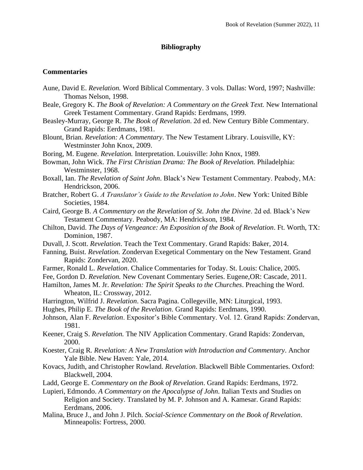### **Bibliography**

#### **Commentaries**

- Aune, David E. *Revelation.* Word Biblical Commentary. 3 vols. Dallas: Word, 1997; Nashville: Thomas Nelson, 1998.
- Beale, Gregory K. *The Book of Revelation: A Commentary on the Greek Text*. New International Greek Testament Commentary. Grand Rapids: Eerdmans, 1999.
- Beasley-Murray, George R. *The Book of Revelation*. 2d ed. New Century Bible Commentary. Grand Rapids: Eerdmans, 1981.
- Blount, Brian. *Revelation: A Commentary*. The New Testament Library. Louisville, KY: Westminster John Knox, 2009.
- Boring, M. Eugene. *Revelation.* Interpretation. Louisville: John Knox, 1989.
- Bowman, John Wick. *The First Christian Drama: The Book of Revelation.* Philadelphia: Westminster, 1968.
- Boxall, Ian. *The Revelation of Saint John*. Black's New Testament Commentary. Peabody, MA: Hendrickson, 2006.
- Bratcher, Robert G. *A Translator's Guide to the Revelation to John*. New York: United Bible Societies, 1984.
- Caird, George B. *A Commentary on the Revelation of St. John the Divine*. 2d ed. Black's New Testament Commentary. Peabody, MA: Hendrickson, 1984.
- Chilton, David. *The Days of Vengeance: An Exposition of the Book of Revelation*. Ft. Worth, TX: Dominion, 1987.
- Duvall, J. Scott. *Revelation*. Teach the Text Commentary. Grand Rapids: Baker, 2014.
- Fanning, Buist. *Revelation.* Zondervan Exegetical Commentary on the New Testament. Grand Rapids: Zondervan, 2020.
- Farmer, Ronald L. *Revelation*. Chalice Commentaries for Today. St. Louis: Chalice, 2005.
- Fee, Gordon D. *Revelation.* New Covenant Commentary Series. Eugene,OR: Cascade, 2011.
- Hamilton, James M. Jr. *Revelation: The Spirit Speaks to the Churches*. Preaching the Word. Wheaton, IL: Crossway, 2012.
- Harrington, Wilfrid J. *Revelation*. Sacra Pagina. Collegeville, MN: Liturgical, 1993.

Hughes, Philip E. *The Book of the Revelation*. Grand Rapids: Eerdmans, 1990.

- Johnson, Alan F. *Revelation*. Expositor's Bible Commentary. Vol. 12. Grand Rapids: Zondervan, 1981.
- Keener, Craig S. *Revelation.* The NIV Application Commentary. Grand Rapids: Zondervan, 2000.
- Koester, Craig R*. Revelation: A New Translation with Introduction and Commentary*. Anchor Yale Bible. New Haven: Yale, 2014.
- Kovacs, Judith, and Christopher Rowland. *Revelation*. Blackwell Bible Commentaries. Oxford: Blackwell, 2004.
- Ladd, George E. *Commentary on the Book of Revelation*. Grand Rapids: Eerdmans, 1972.
- Lupieri, Edmondo. *A Commentary on the Apocalypse of John*. Italian Texts and Studies on Religion and Society. Translated by M. P. Johnson and A. Kamesar. Grand Rapids: Eerdmans, 2006.
- Malina, Bruce J., and John J. Pilch. *Social-Science Commentary on the Book of Revelation*. Minneapolis: Fortress, 2000.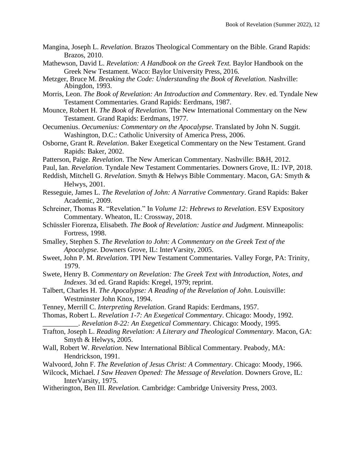- Mangina, Joseph L. *Revelation*. Brazos Theological Commentary on the Bible. Grand Rapids: Brazos, 2010.
- Mathewson, David L. *Revelation: A Handbook on the Greek Text.* Baylor Handbook on the Greek New Testament. Waco: Baylor University Press, 2016.
- Metzger, Bruce M. *Breaking the Code: Understanding the Book of Revelation*. Nashville: Abingdon, 1993.
- Morris, Leon. *The Book of Revelation: An Introduction and Commentary*. Rev. ed. Tyndale New Testament Commentaries. Grand Rapids: Eerdmans, 1987.
- Mounce, Robert H. *The Book of Revelation.* The New International Commentary on the New Testament. Grand Rapids: Eerdmans, 1977.
- Oecumenius. *Oecumenius: Commentary on the Apocalypse*. Translated by John N. Suggit. Washington, D.C.: Catholic University of America Press, 2006.
- Osborne, Grant R. *Revelation*. Baker Exegetical Commentary on the New Testament. Grand Rapids: Baker, 2002.
- Patterson, Paige. *Revelation*. The New American Commentary. Nashville: B&H, 2012.
- Paul, Ian. *Revelation*. Tyndale New Testament Commentaries. Downers Grove, IL: IVP, 2018.
- Reddish, Mitchell G. *Revelation*. Smyth & Helwys Bible Commentary. Macon, GA: Smyth & Helwys, 2001.
- Resseguie, James L. *The Revelation of John: A Narrative Commentary*. Grand Rapids: Baker Academic, 2009.
- Schreiner, Thomas R. "Revelation." In *Volume 12: Hebrews to Revelation*. ESV Expository Commentary. Wheaton, IL: Crossway, 2018.
- Schüssler Fiorenza, Elisabeth. *The Book of Revelation: Justice and Judgment*. Minneapolis: Fortress, 1998.
- Smalley, Stephen S. *The Revelation to John: A Commentary on the Greek Text of the Apocalypse*. Downers Grove, IL: InterVarsity, 2005.
- Sweet, John P. M. *Revelation*. TPI New Testament Commentaries. Valley Forge, PA: Trinity, 1979.
- Swete, Henry B. *Commentary on Revelation: The Greek Text with Introduction, Notes, and Indexes*. 3d ed. Grand Rapids: Kregel, 1979; reprint.
- Talbert, Charles H. *The Apocalypse: A Reading of the Revelation of John*. Louisville: Westminster John Knox, 1994.
- Tenney, Merrill C. *Interpreting Revelation*. Grand Rapids: Eerdmans, 1957.
- Thomas, Robert L. *Revelation 1-7: An Exegetical Commentary*. Chicago: Moody, 1992. \_\_\_\_\_\_\_\_\_\_. *Revelation 8-22: An Exegetical Commentary*. Chicago: Moody, 1995.
- Trafton, Joseph L. *Reading Revelation: A Literary and Theological Commentary.* Macon, GA: Smyth & Helwys, 2005.
- Wall, Robert W. *Revelation*. New International Biblical Commentary. Peabody, MA: Hendrickson, 1991.
- Walvoord, John F. *The Revelation of Jesus Christ: A Commentary*. Chicago: Moody, 1966.
- Wilcock, Michael*. I Saw Heaven Opened: The Message of Revelation*. Downers Grove, IL: InterVarsity, 1975.
- Witherington, Ben III. *Revelation.* Cambridge: Cambridge University Press, 2003.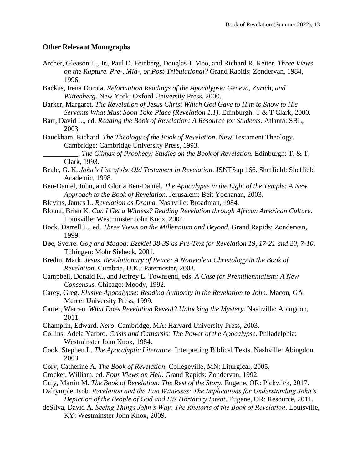### **Other Relevant Monographs**

- Archer, Gleason L., Jr., Paul D. Feinberg, Douglas J. Moo, and Richard R. Reiter. *Three Views on the Rapture. Pre-, Mid-, or Post-Tribulational?* Grand Rapids: Zondervan, 1984, 1996.
- Backus, Irena Dorota. *Reformation Readings of the Apocalypse: Geneva, Zurich, and Wittenberg*. New York: Oxford University Press, 2000.
- Barker, Margaret. *The Revelation of Jesus Christ Which God Gave to Him to Show to His Servants What Must Soon Take Place (Revelation 1.1).* Edinburgh: T & T Clark, 2000.
- Barr, David L., ed. *Reading the Book of Revelation: A Resource for Students.* Atlanta: SBL, 2003.
- Bauckham, Richard. *The Theology of the Book of Revelation*. New Testament Theology. Cambridge: Cambridge University Press, 1993.

\_\_\_\_\_\_\_\_\_\_. *The Climax of Prophecy: Studies on the Book of Revelation.* Edinburgh: T. & T. Clark, 1993.

- Beale, G. K. *John's Use of the Old Testament in Revelation*. JSNTSup 166. Sheffield: Sheffield Academic, 1998.
- Ben-Daniel, John, and Gloria Ben-Daniel. *The Apocalypse in the Light of the Temple: A New Approach to the Book of Revelation*. Jerusalem: Beit Yochanan, 2003.
- Blevins, James L. *Revelation as Drama.* Nashville: Broadman, 1984.
- Blount, Brian K. *Can I Get a Witness? Reading Revelation through African American Culture*. Louisville: Westminster John Knox, 2004.
- Bock, Darrell L., ed. *Three Views on the Millennium and Beyond*. Grand Rapids: Zondervan, 1999.
- Bøe, Sverre. *Gog and Magog: Ezekiel 38-39 as Pre-Text for Revelation 19, 17-21 and 20, 7-10*. Tübingen: Mohr Siebeck, 2001.
- Bredin, Mark. *Jesus, Revolutionary of Peace: A Nonviolent Christology in the Book of Revelation*. Cumbria, U.K.: Paternoster, 2003.
- Campbell, Donald K., and Jeffrey L. Townsend, eds. *A Case for Premillennialism: A New Consensus.* Chicago: Moody, 1992.
- Carey, Greg. *Elusive Apocalypse: Reading Authority in the Revelation to John*. Macon, GA: Mercer University Press, 1999.
- Carter, Warren. *What Does Revelation Reveal? Unlocking the Mystery*. Nashville: Abingdon, 2011.
- Champlin, Edward. *Nero*. Cambridge, MA: Harvard University Press, 2003.
- Collins, Adela Yarbro. *Crisis and Catharsis: The Power of the Apocalypse*. Philadelphia: Westminster John Knox, 1984.
- Cook, Stephen L. *The Apocalyptic Literature*. Interpreting Biblical Texts. Nashville: Abingdon, 2003.
- Cory, Catherine A. *The Book of Revelation*. Collegeville, MN: Liturgical, 2005.
- Crocket, William, ed. *Four Views on Hell.* Grand Rapids: Zondervan, 1992.
- Culy, Martin M. *The Book of Revelation: The Rest of the Story.* Eugene, OR: Pickwick, 2017.
- Dalrymple, Rob. *Revelation and the Two Witnesses: The Implications for Understanding John's Depiction of the People of God and His Hortatory Intent*. Eugene, OR: Resource, 2011.
- deSilva, David A. *Seeing Things John's Way: The Rhetoric of the Book of Revelation*. Louisville, KY: Westminster John Knox, 2009.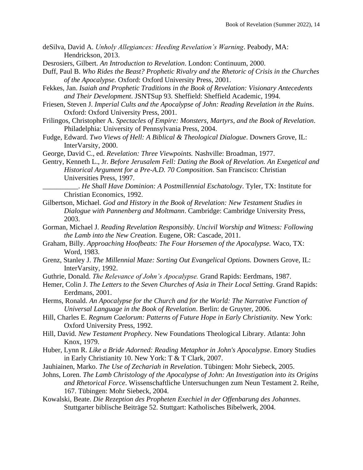- deSilva, David A. *Unholy Allegiances: Heeding Revelation's Warning*. Peabody, MA: Hendrickson, 2013.
- Desrosiers, Gilbert. *An Introduction to Revelation*. London: Continuum, 2000.
- Duff, Paul B. *Who Rides the Beast? Prophetic Rivalry and the Rhetoric of Crisis in the Churches of the Apocalypse.* Oxford: Oxford University Press, 2001.
- Fekkes, Jan. *Isaiah and Prophetic Traditions in the Book of Revelation: Visionary Antecedents and Their Development*. JSNTSup 93. Sheffield: Sheffield Academic, 1994.
- Friesen, Steven J. *Imperial Cults and the Apocalypse of John: Reading Revelation in the Ruins*. Oxford: Oxford University Press, 2001.
- Frilingos, Christopher A. *Spectacles of Empire: Monsters, Martyrs, and the Book of Revelation*. Philadelphia: University of Pennsylvania Press, 2004.
- Fudge, Edward. *Two Views of Hell: A Biblical & Theological Dialogue*. Downers Grove, IL: InterVarsity, 2000.
- George, David C., ed. *Revelation: Three Viewpoints.* Nashville: Broadman, 1977.
- Gentry, Kenneth L., Jr. *Before Jerusalem Fell: Dating the Book of Revelation. An Exegetical and Historical Argument for a Pre-A.D. 70 Composition*. San Francisco: Christian Universities Press, 1997.
	- \_\_\_\_\_\_\_\_\_\_. *He Shall Have Dominion: A Postmillennial Eschatology*. Tyler, TX: Institute for Christian Economics, 1992.
- Gilbertson, Michael. *God and History in the Book of Revelation: New Testament Studies in Dialogue with Pannenberg and Moltmann*. Cambridge: Cambridge University Press, 2003.
- Gorman, Michael J. *Reading Revelation Responsibly. Uncivil Worship and Witness: Following the Lamb into the New Creation.* Eugene, OR: Cascade, 2011.
- Graham, Billy. *Approaching Hoofbeats: The Four Horsemen of the Apocalypse.* Waco, TX: Word, 1983.
- Grenz, Stanley J. *The Millennial Maze: Sorting Out Evangelical Options.* Downers Grove, IL: InterVarsity, 1992.
- Guthrie, Donald. *The Relevance of John's Apocalypse.* Grand Rapids: Eerdmans, 1987.
- Hemer, Colin J. *The Letters to the Seven Churches of Asia in Their Local Setting*. Grand Rapids: Eerdmans, 2001.
- Herms, Ronald. *An Apocalypse for the Church and for the World: The Narrative Function of Universal Language in the Book of Revelation*. Berlin: de Gruyter, 2006.
- Hill, Charles E. *Regnum Caelorum: Patterns of Future Hope in Early Christianity.* New York: Oxford University Press, 1992.
- Hill, David. *New Testament Prophecy.* New Foundations Theological Library. Atlanta: John Knox, 1979.
- Huber, Lynn R. *Like a Bride Adorned: Reading Metaphor in John's Apocalypse*. Emory Studies in Early Christianity 10. New York: T & T Clark, 2007.
- Jauhiainen, Marko. *The Use of Zechariah in Revelation*. Tübingen: Mohr Siebeck, 2005.
- Johns, Loren. *The Lamb Christology of the Apocalypse of John: An Investigation into its Origins and Rhetorical Force*. Wissenschaftliche Untersuchungen zum Neun Testament 2. Reihe, 167. Tübingen: Mohr Siebeck, 2004.
- Kowalski, Beate. *Die Rezeption des Propheten Exechiel in der Offenbarung des Johannes*. Stuttgarter biblische Beiträge 52. Stuttgart: Katholisches Bibelwerk, 2004.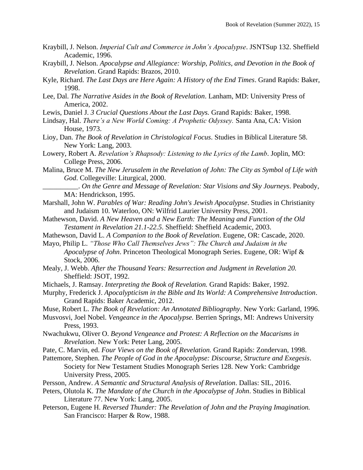- Kraybill, J. Nelson. *Imperial Cult and Commerce in John's Apocalypse*. JSNTSup 132. Sheffield Academic, 1996.
- Kraybill, J. Nelson. *Apocalypse and Allegiance: Worship, Politics, and Devotion in the Book of Revelation*. Grand Rapids: Brazos, 2010.
- Kyle, Richard. *The Last Days are Here Again: A History of the End Times*. Grand Rapids: Baker, 1998.
- Lee, Dal. *The Narrative Asides in the Book of Revelation*. Lanham, MD: University Press of America, 2002.
- Lewis, Daniel J. *3 Crucial Questions About the Last Days.* Grand Rapids: Baker, 1998.
- Lindsay, Hal. *There's a New World Coming: A Prophetic Odyssey.* Santa Ana, CA: Vision House, 1973.
- Lioy, Dan. *The Book of Revelation in Christological Focus*. Studies in Biblical Literature 58. New York: Lang, 2003.
- Lowery, Robert A. *Revelation's Rhapsody: Listening to the Lyrics of the Lamb*. Joplin, MO: College Press, 2006.
- Malina, Bruce M. *The New Jerusalem in the Revelation of John: The City as Symbol of Life with God*. Collegeville: Liturgical, 2000.
	- \_\_\_\_\_\_\_\_\_\_. *On the Genre and Message of Revelation: Star Visions and Sky Journeys*. Peabody, MA: Hendrickson, 1995.
- Marshall, John W. *Parables of War: Reading John's Jewish Apocalypse*. Studies in Christianity and Judaism 10. Waterloo, ON: Wilfrid Laurier University Press, 2001.
- Mathewson, David. *A New Heaven and a New Earth: The Meaning and Function of the Old Testament in Revelation 21.1-22.5*. Sheffield: Sheffield Academic, 2003.
- Mathewson, David L. *A Companion to the Book of Revelation*. Eugene, OR: Cascade, 2020.
- Mayo, Philip L. *"Those Who Call Themselves Jews": The Church and Judaism in the Apocalypse of John*. Princeton Theological Monograph Series. Eugene, OR: Wipf & Stock, 2006.
- Mealy, J. Webb. *After the Thousand Years: Resurrection and Judgment in Revelation 20.*  Sheffield: JSOT, 1992.
- Michaels, J. Ramsay. *Interpreting the Book of Revelation.* Grand Rapids: Baker, 1992.
- Murphy, Frederick J. *Apocalypticism in the Bible and Its World: A Comprehensive Introduction*. Grand Rapids: Baker Academic, 2012.
- Muse, Robert L. *The Book of Revelation: An Annotated Bibliography*. New York: Garland, 1996.
- Musvosvi, Joel Nobel. *Vengeance in the Apocalypse.* Berrien Springs, MI: Andrews University Press, 1993.
- Nwachukwu, Oliver O. *Beyond Vengeance and Protest: A Reflection on the Macarisms in Revelation*. New York: Peter Lang, 2005.
- Pate, C. Marvin, ed. *Four Views on the Book of Revelation.* Grand Rapids: Zondervan, 1998.
- Pattemore, Stephen. *The People of God in the Apocalypse: Discourse, Structure and Exegesis*. Society for New Testament Studies Monograph Series 128. New York: Cambridge University Press, 2005.
- Persson, Andrew. *A Semantic and Structural Analysis of Revelation*. Dallas: SIL, 2016.
- Peters, Olutola K. *The Mandate of the Church in the Apocalypse of John*. Studies in Biblical Literature 77. New York: Lang, 2005.
- Peterson, Eugene H. *Reversed Thunder: The Revelation of John and the Praying Imagination.*  San Francisco: Harper & Row, 1988.